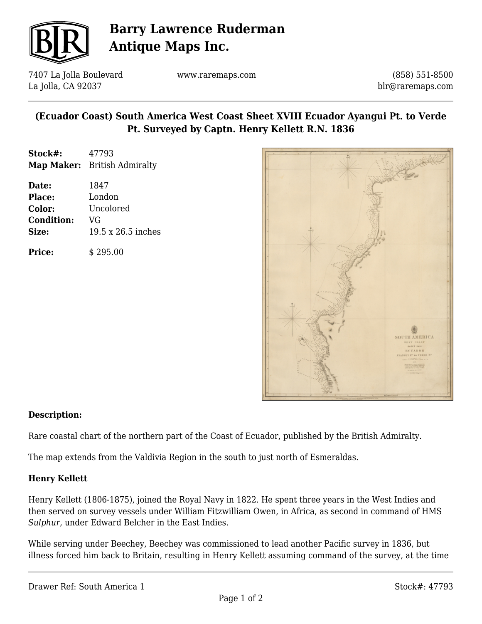

## **Barry Lawrence Ruderman Antique Maps Inc.**

7407 La Jolla Boulevard La Jolla, CA 92037

www.raremaps.com

(858) 551-8500 blr@raremaps.com

## **(Ecuador Coast) South America West Coast Sheet XVIII Ecuador Ayangui Pt. to Verde Pt. Surveyed by Captn. Henry Kellett R.N. 1836**

| Stock#: | 47793                        |
|---------|------------------------------|
|         | Map Maker: British Admiralty |

| Date:             | 1847               |
|-------------------|--------------------|
| <b>Place:</b>     | London             |
| Color:            | Uncolored          |
| <b>Condition:</b> | VG                 |
| Size:             | 19.5 x 26.5 inches |
|                   |                    |

**Price:**  $\qquad$  \$ 295.00



### **Description:**

Rare coastal chart of the northern part of the Coast of Ecuador, published by the British Admiralty.

The map extends from the Valdivia Region in the south to just north of Esmeraldas.

### **Henry Kellett**

Henry Kellett (1806-1875), joined the Royal Navy in 1822. He spent three years in the West Indies and then served on survey vessels under William Fitzwilliam Owen, in Africa, as second in command of HMS *Sulphur,* under Edward Belcher in the East Indies.

While serving under Beechey, Beechey was commissioned to lead another Pacific survey in 1836, but illness forced him back to Britain, resulting in Henry Kellett assuming command of the survey, at the time